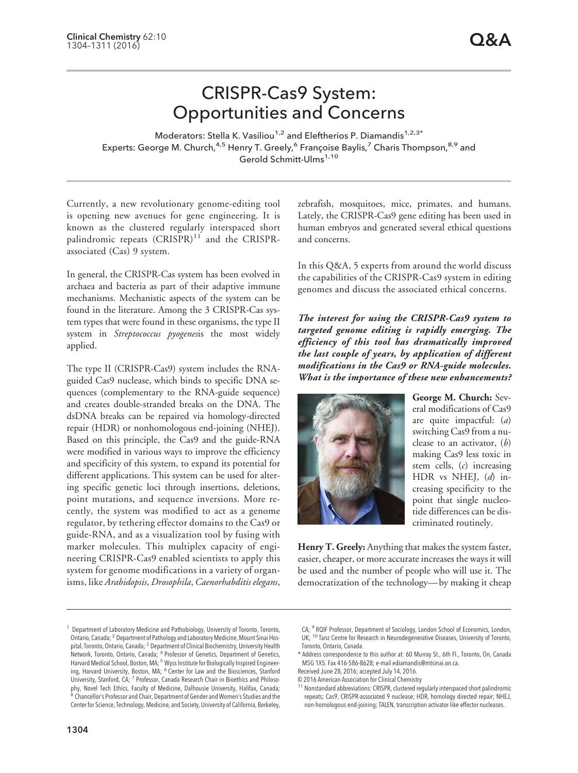# CRISPR-Cas9 System: Opportunities and Concerns

Moderators: Stella K. Vasiliou<sup>1,2</sup> and Eleftherios P. Diamandis<sup>1,2,3\*</sup> Experts: George M. Church,<sup>4,5</sup> Henry T. Greely,<sup>6</sup> Françoise Baylis,<sup>7</sup> Charis Thompson,<sup>8,9</sup> and Gerold Schmitt-Ulms<sup>1,10</sup>

Currently, a new revolutionary genome-editing tool is opening new avenues for gene engineering. It is known as the clustered regularly interspaced short palindromic repeats  $(CRISPR)^{11}$  and the CRISPRassociated (Cas) 9 system.

In general, the CRISPR-Cas system has been evolved in archaea and bacteria as part of their adaptive immune mechanisms. Mechanistic aspects of the system can be found in the literature. Among the 3 CRISPR-Cas system types that were found in these organisms, the type II system in *Streptococcus pyogenes*is the most widely applied.

The type II (CRISPR-Cas9) system includes the RNAguided Cas9 nuclease, which binds to specific DNA sequences (complementary to the RNA-guide sequence) and creates double-stranded breaks on the DNA. The dsDNA breaks can be repaired via homology-directed repair (HDR) or nonhomologous end-joining (NHEJ). Based on this principle, the Cas9 and the guide-RNA were modified in various ways to improve the efficiency and specificity of this system, to expand its potential for different applications. This system can be used for altering specific genetic loci through insertions, deletions, point mutations, and sequence inversions. More recently, the system was modified to act as a genome regulator, by tethering effector domains to the Cas9 or guide-RNA, and as a visualization tool by fusing with marker molecules. This multiplex capacity of engineering CRISPR-Cas9 enabled scientists to apply this system for genome modifications in a variety of organisms, like *Arabidopsis*, *Drosophila*, *Caenorhabditis elegans*,

<sup>1</sup> Department of Laboratory Medicine and Pathobiology, University of Toronto, Toronto, Ontario, Canada; <sup>2</sup> Department of Pathology and Laboratory Medicine, Mount Sinai Hospital, Toronto, Ontario, Canada; <sup>3</sup> Department of Clinical Biochemistry, University Health Network, Toronto, Ontario, Canada; <sup>4</sup> Professor of Genetics, Department of Genetics, Harvard Medical School, Boston, MA; <sup>5</sup> Wyss Institute for Biologically Inspired Engineering, Harvard University, Boston, MA; <sup>6</sup> Center for Law and the Biosciences, Stanford University, Stanford, CA; <sup>7</sup> Professor, Canada Research Chair in Bioethics and Philosophy, Novel Tech Ethics, Faculty of Medicine, Dalhousie University, Halifax, Canada;<br>8 Chanceller's December 2011, Faculty of Medicine, Dalhousie University, Halifax, Canada; Chancellor's Professor and Chair, Department of Gender and Women's Studies and the Center for Science, Technology, Medicine, and Society, University of California, Berkeley,

zebrafish, mosquitoes, mice, primates, and humans. Lately, the CRISPR-Cas9 gene editing has been used in human embryos and generated several ethical questions and concerns.

In this Q&A, 5 experts from around the world discuss the capabilities of the CRISPR-Cas9 system in editing genomes and discuss the associated ethical concerns.

*The interest for using the CRISPR-Cas9 system to targeted genome editing is rapidly emerging. The efficiency of this tool has dramatically improved the last couple of years, by application of different modifications in the Cas9 or RNA-guide molecules. What is the importance of these new enhancements?*



**George M. Church:** Several modifications of Cas9 are quite impactful: (*a*) switching Cas9 from a nuclease to an activator, (*b*) making Cas9 less toxic in stem cells, (*c*) increasing HDR vs NHEJ, (*d*) increasing specificity to the point that single nucleotide differences can be discriminated routinely.

**Henry T. Greely:** Anything that makes the system faster, easier, cheaper, or more accurate increases the ways it will be used and the number of people who will use it. The democratization of the technology— by making it cheap

CA; <sup>9</sup> RQIF Professor, Department of Sociology, London School of Economics, London, UK; <sup>10</sup> Tanz Centre for Research in Neurodegenerative Diseases, University of Toronto, Toronto, Ontario, Canada.

<sup>\*</sup> Address correspondence to this author at: 60 Murray St., 6th Fl., Toronto, On, Canada M5G 1X5. Fax 416-586-8628; e-mail ediamandis@mtsinai.on.ca.

Received June 28, 2016; accepted July 14, 2016.

<sup>© 2016</sup> American Association for Clinical Chemistry

<sup>&</sup>lt;sup>11</sup> Nonstandard abbreviations: CRISPR, clustered regularly interspaced short palindromic repeats; Cas9, CRISPR-associated 9 nuclease; HDR, homology directed repair; NHEJ, non-homologous end-joining; TALEN, transcription activator-like effector nucleases.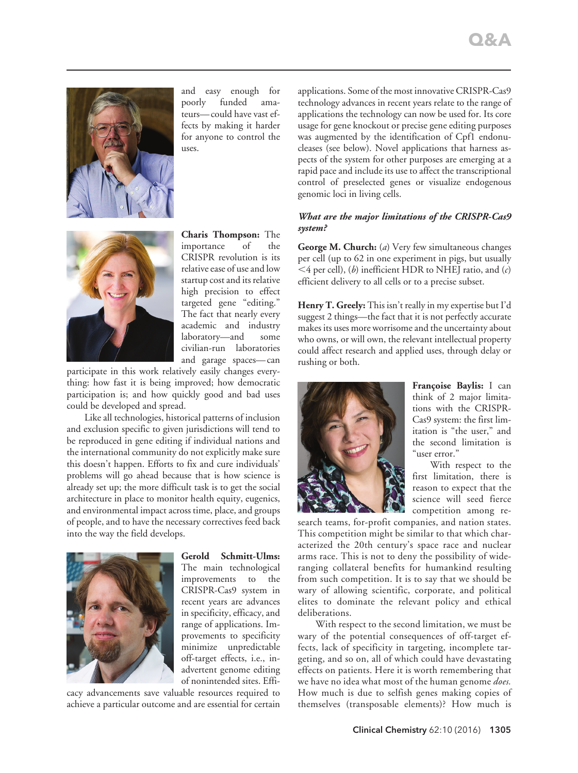

and easy enough for poorly funded amateurs— could have vast effects by making it harder for anyone to control the uses.



**Charis Thompson:** The importance of the CRISPR revolution is its relative ease of use and low startup cost and its relative high precision to effect targeted gene "editing." The fact that nearly every academic and industry laboratory—and some civilian-run laboratories and garage spaces— can

participate in this work relatively easily changes everything: how fast it is being improved; how democratic participation is; and how quickly good and bad uses could be developed and spread.

Like all technologies, historical patterns of inclusion and exclusion specific to given jurisdictions will tend to be reproduced in gene editing if individual nations and the international community do not explicitly make sure this doesn't happen. Efforts to fix and cure individuals' problems will go ahead because that is how science is already set up; the more difficult task is to get the social architecture in place to monitor health equity, eugenics, and environmental impact across time, place, and groups of people, and to have the necessary correctives feed back into the way the field develops.



**Gerold Schmitt-Ulms:** The main technological improvements to the CRISPR-Cas9 system in recent years are advances in specificity, efficacy, and range of applications. Improvements to specificity minimize unpredictable off-target effects, i.e., inadvertent genome editing of nonintended sites. Effi-

cacy advancements save valuable resources required to achieve a particular outcome and are essential for certain applications. Some of the most innovative CRISPR-Cas9 technology advances in recent years relate to the range of applications the technology can now be used for. Its core usage for gene knockout or precise gene editing purposes was augmented by the identification of Cpf1 endonucleases (see below). Novel applications that harness aspects of the system for other purposes are emerging at a rapid pace and include its use to affect the transcriptional control of preselected genes or visualize endogenous genomic loci in living cells.

#### *What are the major limitations of the CRISPR-Cas9 system?*

**George M. Church:** (*a*) Very few simultaneous changes per cell (up to 62 in one experiment in pigs, but usually -4 per cell), (*b*) inefficient HDR to NHEJ ratio, and (*c*) efficient delivery to all cells or to a precise subset.

**Henry T. Greely:** This isn't really in my expertise but I'd suggest 2 things—the fact that it is not perfectly accurate makes its uses more worrisome and the uncertainty about who owns, or will own, the relevant intellectual property could affect research and applied uses, through delay or rushing or both.



**Franc¸oise Baylis:** I can think of 2 major limitations with the CRISPR-Cas9 system: the first limitation is "the user," and the second limitation is "user error."

With respect to the first limitation, there is reason to expect that the science will seed fierce competition among re-

search teams, for-profit companies, and nation states. This competition might be similar to that which characterized the 20th century's space race and nuclear arms race. This is not to deny the possibility of wideranging collateral benefits for humankind resulting from such competition. It is to say that we should be wary of allowing scientific, corporate, and political elites to dominate the relevant policy and ethical deliberations.

With respect to the second limitation, we must be wary of the potential consequences of off-target effects, lack of specificity in targeting, incomplete targeting, and so on, all of which could have devastating effects on patients. Here it is worth remembering that we have no idea what most of the human genome *does.* How much is due to selfish genes making copies of themselves (transposable elements)? How much is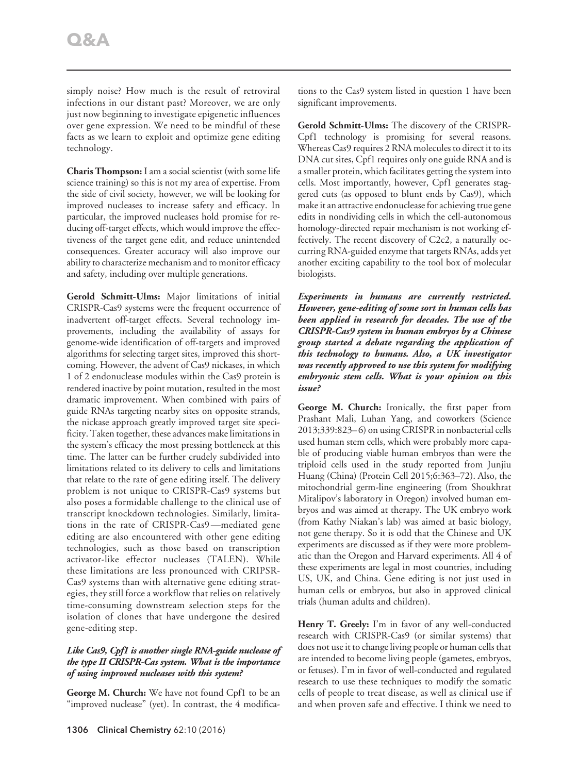simply noise? How much is the result of retroviral infections in our distant past? Moreover, we are only just now beginning to investigate epigenetic influences over gene expression. We need to be mindful of these facts as we learn to exploit and optimize gene editing technology.

**Charis Thompson:** I am a social scientist (with some life science training) so this is not my area of expertise. From the side of civil society, however, we will be looking for improved nucleases to increase safety and efficacy. In particular, the improved nucleases hold promise for reducing off-target effects, which would improve the effectiveness of the target gene edit, and reduce unintended consequences. Greater accuracy will also improve our ability to characterize mechanism and to monitor efficacy and safety, including over multiple generations.

**Gerold Schmitt-Ulms:** Major limitations of initial CRISPR-Cas9 systems were the frequent occurrence of inadvertent off-target effects. Several technology improvements, including the availability of assays for genome-wide identification of off-targets and improved algorithms for selecting target sites, improved this shortcoming. However, the advent of Cas9 nickases, in which 1 of 2 endonuclease modules within the Cas9 protein is rendered inactive by point mutation, resulted in the most dramatic improvement. When combined with pairs of guide RNAs targeting nearby sites on opposite strands, the nickase approach greatly improved target site specificity. Taken together, these advances make limitations in the system's efficacy the most pressing bottleneck at this time. The latter can be further crudely subdivided into limitations related to its delivery to cells and limitations that relate to the rate of gene editing itself. The delivery problem is not unique to CRISPR-Cas9 systems but also poses a formidable challenge to the clinical use of transcript knockdown technologies. Similarly, limitations in the rate of CRISPR-Cas9—mediated gene editing are also encountered with other gene editing technologies, such as those based on transcription activator-like effector nucleases (TALEN). While these limitations are less pronounced with CRIPSR-Cas9 systems than with alternative gene editing strategies, they still force a workflow that relies on relatively time-consuming downstream selection steps for the isolation of clones that have undergone the desired gene-editing step.

### *Like Cas9, Cpf1 is another single RNA-guide nuclease of the type II CRISPR-Cas system. What is the importance of using improved nucleases with this system?*

**George M. Church:** We have not found Cpf1 to be an "improved nuclease" (yet). In contrast, the 4 modifica-

tions to the Cas9 system listed in question 1 have been significant improvements.

**Gerold Schmitt-Ulms:** The discovery of the CRISPR-Cpf1 technology is promising for several reasons. Whereas Cas9 requires 2 RNA molecules to direct it to its DNA cut sites, Cpf1 requires only one guide RNA and is a smaller protein, which facilitates getting the system into cells. Most importantly, however, Cpf1 generates staggered cuts (as opposed to blunt ends by Cas9), which make it an attractive endonuclease for achieving true gene edits in nondividing cells in which the cell-autonomous homology-directed repair mechanism is not working effectively. The recent discovery of C2c2, a naturally occurring RNA-guided enzyme that targets RNAs, adds yet another exciting capability to the tool box of molecular biologists.

*Experiments in humans are currently restricted. However, gene-editing of some sort in human cells has been applied in research for decades. The use of the CRISPR-Cas9 system in human embryos by a Chinese group started a debate regarding the application of this technology to humans. Also, a UK investigator was recently approved to use this system for modifying embryonic stem cells. What is your opinion on this issue?*

**George M. Church:** Ironically, the first paper from Prashant Mali, Luhan Yang, and coworkers (Science 2013;339:823– 6) on using CRISPR in nonbacterial cells used human stem cells, which were probably more capable of producing viable human embryos than were the triploid cells used in the study reported from Junjiu Huang (China) (Protein Cell 2015;6:363–72). Also, the mitochondrial germ-line engineering (from Shoukhrat Mitalipov's laboratory in Oregon) involved human embryos and was aimed at therapy. The UK embryo work (from Kathy Niakan's lab) was aimed at basic biology, not gene therapy. So it is odd that the Chinese and UK experiments are discussed as if they were more problematic than the Oregon and Harvard experiments. All 4 of these experiments are legal in most countries, including US, UK, and China. Gene editing is not just used in human cells or embryos, but also in approved clinical trials (human adults and children).

**Henry T. Greely:** I'm in favor of any well-conducted research with CRISPR-Cas9 (or similar systems) that does not use it to change living people or human cells that are intended to become living people (gametes, embryos, or fetuses). I'm in favor of well-conducted and regulated research to use these techniques to modify the somatic cells of people to treat disease, as well as clinical use if and when proven safe and effective. I think we need to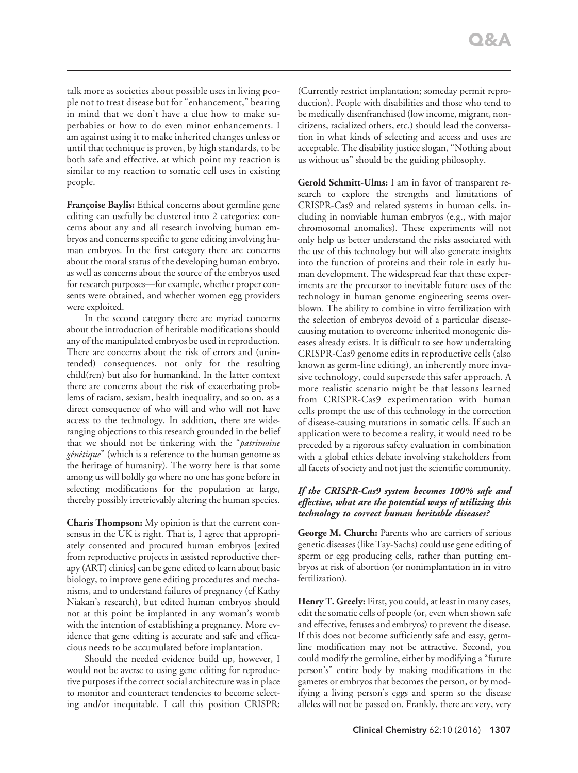talk more as societies about possible uses in living people not to treat disease but for "enhancement," bearing in mind that we don't have a clue how to make superbabies or how to do even minor enhancements. I am against using it to make inherited changes unless or until that technique is proven, by high standards, to be both safe and effective, at which point my reaction is similar to my reaction to somatic cell uses in existing people.

**Françoise Baylis:** Ethical concerns about germline gene editing can usefully be clustered into 2 categories: concerns about any and all research involving human embryos and concerns specific to gene editing involving human embryos. In the first category there are concerns about the moral status of the developing human embryo, as well as concerns about the source of the embryos used for research purposes—for example, whether proper consents were obtained, and whether women egg providers were exploited.

In the second category there are myriad concerns about the introduction of heritable modifications should any of the manipulated embryos be used in reproduction. There are concerns about the risk of errors and (unintended) consequences, not only for the resulting child(ren) but also for humankind. In the latter context there are concerns about the risk of exacerbating problems of racism, sexism, health inequality, and so on, as a direct consequence of who will and who will not have access to the technology. In addition, there are wideranging objections to this research grounded in the belief that we should not be tinkering with the "*patrimoine* génétique" (which is a reference to the human genome as the heritage of humanity). The worry here is that some among us will boldly go where no one has gone before in selecting modifications for the population at large, thereby possibly irretrievably altering the human species.

**Charis Thompson:** My opinion is that the current consensus in the UK is right. That is, I agree that appropriately consented and procured human embryos [exited from reproductive projects in assisted reproductive therapy (ART) clinics] can be gene edited to learn about basic biology, to improve gene editing procedures and mechanisms, and to understand failures of pregnancy (cf Kathy Niakan's research), but edited human embryos should not at this point be implanted in any woman's womb with the intention of establishing a pregnancy. More evidence that gene editing is accurate and safe and efficacious needs to be accumulated before implantation.

Should the needed evidence build up, however, I would not be averse to using gene editing for reproductive purposes if the correct social architecture was in place to monitor and counteract tendencies to become selecting and/or inequitable. I call this position CRISPR:

(Currently restrict implantation; someday permit reproduction). People with disabilities and those who tend to be medically disenfranchised (low income, migrant, noncitizens, racialized others, etc.) should lead the conversation in what kinds of selecting and access and uses are acceptable. The disability justice slogan, "Nothing about us without us" should be the guiding philosophy.

**Gerold Schmitt-Ulms:** I am in favor of transparent research to explore the strengths and limitations of CRISPR-Cas9 and related systems in human cells, including in nonviable human embryos (e.g., with major chromosomal anomalies). These experiments will not only help us better understand the risks associated with the use of this technology but will also generate insights into the function of proteins and their role in early human development. The widespread fear that these experiments are the precursor to inevitable future uses of the technology in human genome engineering seems overblown. The ability to combine in vitro fertilization with the selection of embryos devoid of a particular diseasecausing mutation to overcome inherited monogenic diseases already exists. It is difficult to see how undertaking CRISPR-Cas9 genome edits in reproductive cells (also known as germ-line editing), an inherently more invasive technology, could supersede this safer approach. A more realistic scenario might be that lessons learned from CRISPR-Cas9 experimentation with human cells prompt the use of this technology in the correction of disease-causing mutations in somatic cells. If such an application were to become a reality, it would need to be preceded by a rigorous safety evaluation in combination with a global ethics debate involving stakeholders from all facets of society and not just the scientific community.

#### *If the CRISPR-Cas9 system becomes 100% safe and effective, what are the potential ways of utilizing this technology to correct human heritable diseases?*

**George M. Church:** Parents who are carriers of serious genetic diseases (like Tay-Sachs) could use gene editing of sperm or egg producing cells, rather than putting embryos at risk of abortion (or nonimplantation in in vitro fertilization).

**Henry T. Greely:** First, you could, at least in many cases, edit the somatic cells of people (or, even when shown safe and effective, fetuses and embryos) to prevent the disease. If this does not become sufficiently safe and easy, germline modification may not be attractive. Second, you could modify the germline, either by modifying a "future person's" entire body by making modifications in the gametes or embryos that becomes the person, or by modifying a living person's eggs and sperm so the disease alleles will not be passed on. Frankly, there are very, very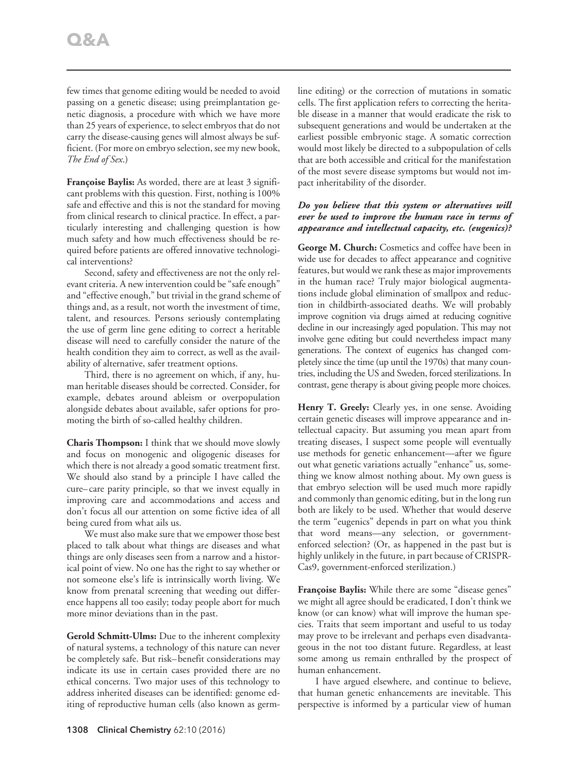few times that genome editing would be needed to avoid passing on a genetic disease; using preimplantation genetic diagnosis, a procedure with which we have more than 25 years of experience, to select embryos that do not carry the disease-causing genes will almost always be sufficient. (For more on embryo selection, see my new book, *The End of Sex*.)

Françoise Baylis: As worded, there are at least 3 significant problems with this question. First, nothing is 100% safe and effective and this is not the standard for moving from clinical research to clinical practice. In effect, a particularly interesting and challenging question is how much safety and how much effectiveness should be required before patients are offered innovative technological interventions?

Second, safety and effectiveness are not the only relevant criteria. A new intervention could be "safe enough" and "effective enough," but trivial in the grand scheme of things and, as a result, not worth the investment of time, talent, and resources. Persons seriously contemplating the use of germ line gene editing to correct a heritable disease will need to carefully consider the nature of the health condition they aim to correct, as well as the availability of alternative, safer treatment options.

Third, there is no agreement on which, if any, human heritable diseases should be corrected. Consider, for example, debates around ableism or overpopulation alongside debates about available, safer options for promoting the birth of so-called healthy children.

**Charis Thompson:** I think that we should move slowly and focus on monogenic and oligogenic diseases for which there is not already a good somatic treatment first. We should also stand by a principle I have called the cure– care parity principle, so that we invest equally in improving care and accommodations and access and don't focus all our attention on some fictive idea of all being cured from what ails us.

We must also make sure that we empower those best placed to talk about what things are diseases and what things are only diseases seen from a narrow and a historical point of view. No one has the right to say whether or not someone else's life is intrinsically worth living. We know from prenatal screening that weeding out difference happens all too easily; today people abort for much more minor deviations than in the past.

**Gerold Schmitt-Ulms:** Due to the inherent complexity of natural systems, a technology of this nature can never be completely safe. But risk– benefit considerations may indicate its use in certain cases provided there are no ethical concerns. Two major uses of this technology to address inherited diseases can be identified: genome editing of reproductive human cells (also known as germline editing) or the correction of mutations in somatic cells. The first application refers to correcting the heritable disease in a manner that would eradicate the risk to subsequent generations and would be undertaken at the earliest possible embryonic stage. A somatic correction would most likely be directed to a subpopulation of cells that are both accessible and critical for the manifestation of the most severe disease symptoms but would not impact inheritability of the disorder.

### *Do you believe that this system or alternatives will ever be used to improve the human race in terms of appearance and intellectual capacity, etc. (eugenics)?*

**George M. Church:** Cosmetics and coffee have been in wide use for decades to affect appearance and cognitive features, but would we rank these as major improvements in the human race? Truly major biological augmentations include global elimination of smallpox and reduction in childbirth-associated deaths. We will probably improve cognition via drugs aimed at reducing cognitive decline in our increasingly aged population. This may not involve gene editing but could nevertheless impact many generations. The context of eugenics has changed completely since the time (up until the 1970s) that many countries, including the US and Sweden, forced sterilizations. In contrast, gene therapy is about giving people more choices.

Henry T. Greely: Clearly yes, in one sense. Avoiding certain genetic diseases will improve appearance and intellectual capacity. But assuming you mean apart from treating diseases, I suspect some people will eventually use methods for genetic enhancement—after we figure out what genetic variations actually "enhance" us, something we know almost nothing about. My own guess is that embryo selection will be used much more rapidly and commonly than genomic editing, but in the long run both are likely to be used. Whether that would deserve the term "eugenics" depends in part on what you think that word means—any selection, or governmentenforced selection? (Or, as happened in the past but is highly unlikely in the future, in part because of CRISPR-Cas9, government-enforced sterilization.)

Françoise Baylis: While there are some "disease genes" we might all agree should be eradicated, I don't think we know (or can know) what will improve the human species. Traits that seem important and useful to us today may prove to be irrelevant and perhaps even disadvantageous in the not too distant future. Regardless, at least some among us remain enthralled by the prospect of human enhancement.

I have argued elsewhere, and continue to believe, that human genetic enhancements are inevitable. This perspective is informed by a particular view of human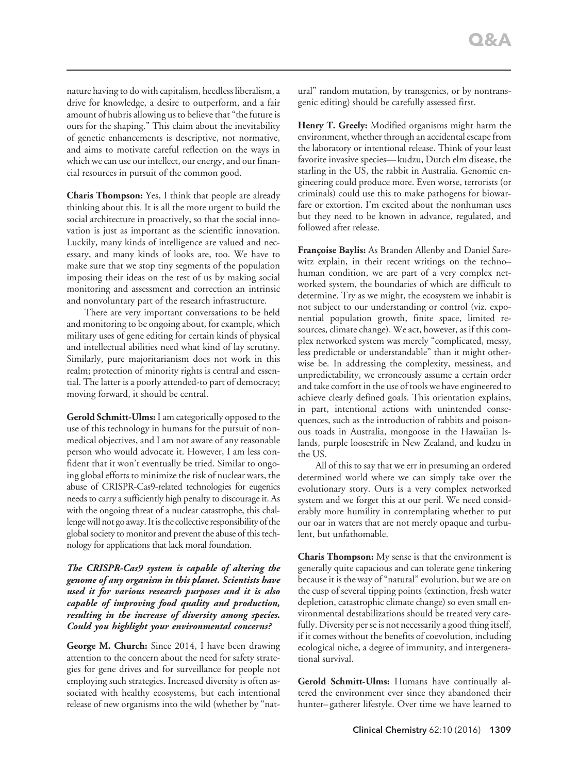nature having to do with capitalism, heedless liberalism, a drive for knowledge, a desire to outperform, and a fair amount of hubris allowing us to believe that "the future is ours for the shaping." This claim about the inevitability of genetic enhancements is descriptive, not normative, and aims to motivate careful reflection on the ways in which we can use our intellect, our energy, and our financial resources in pursuit of the common good.

**Charis Thompson:** Yes, I think that people are already thinking about this. It is all the more urgent to build the social architecture in proactively, so that the social innovation is just as important as the scientific innovation. Luckily, many kinds of intelligence are valued and necessary, and many kinds of looks are, too. We have to make sure that we stop tiny segments of the population imposing their ideas on the rest of us by making social monitoring and assessment and correction an intrinsic and nonvoluntary part of the research infrastructure.

There are very important conversations to be held and monitoring to be ongoing about, for example, which military uses of gene editing for certain kinds of physical and intellectual abilities need what kind of lay scrutiny. Similarly, pure majoritarianism does not work in this realm; protection of minority rights is central and essential. The latter is a poorly attended-to part of democracy; moving forward, it should be central.

**Gerold Schmitt-Ulms:** I am categorically opposed to the use of this technology in humans for the pursuit of nonmedical objectives, and I am not aware of any reasonable person who would advocate it. However, I am less confident that it won't eventually be tried. Similar to ongoing global efforts to minimize the risk of nuclear wars, the abuse of CRISPR-Cas9-related technologies for eugenics needs to carry a sufficiently high penalty to discourage it. As with the ongoing threat of a nuclear catastrophe, this challenge will not go away. It is the collective responsibility of the global society to monitor and prevent the abuse of this technology for applications that lack moral foundation.

#### *The CRISPR-Cas9 system is capable of altering the genome of any organism in this planet. Scientists have used it for various research purposes and it is also capable of improving food quality and production, resulting in the increase of diversity among species. Could you highlight your environmental concerns?*

**George M. Church:** Since 2014, I have been drawing attention to the concern about the need for safety strategies for gene drives and for surveillance for people not employing such strategies. Increased diversity is often associated with healthy ecosystems, but each intentional release of new organisms into the wild (whether by "natural" random mutation, by transgenics, or by nontransgenic editing) should be carefully assessed first.

**Henry T. Greely:** Modified organisms might harm the environment, whether through an accidental escape from the laboratory or intentional release. Think of your least favorite invasive species—kudzu, Dutch elm disease, the starling in the US, the rabbit in Australia. Genomic engineering could produce more. Even worse, terrorists (or criminals) could use this to make pathogens for biowarfare or extortion. I'm excited about the nonhuman uses but they need to be known in advance, regulated, and followed after release.

Françoise Baylis: As Branden Allenby and Daniel Sarewitz explain, in their recent writings on the techno– human condition, we are part of a very complex networked system, the boundaries of which are difficult to determine. Try as we might, the ecosystem we inhabit is not subject to our understanding or control (viz. exponential population growth, finite space, limited resources, climate change). We act, however, as if this complex networked system was merely "complicated, messy, less predictable or understandable" than it might otherwise be. In addressing the complexity, messiness, and unpredictability, we erroneously assume a certain order and take comfort in the use of tools we have engineered to achieve clearly defined goals. This orientation explains, in part, intentional actions with unintended consequences, such as the introduction of rabbits and poisonous toads in Australia, mongoose in the Hawaiian Islands, purple loosestrife in New Zealand, and kudzu in the US.

All of this to say that we err in presuming an ordered determined world where we can simply take over the evolutionary story. Ours is a very complex networked system and we forget this at our peril. We need considerably more humility in contemplating whether to put our oar in waters that are not merely opaque and turbulent, but unfathomable.

**Charis Thompson:** My sense is that the environment is generally quite capacious and can tolerate gene tinkering because it is the way of "natural" evolution, but we are on the cusp of several tipping points (extinction, fresh water depletion, catastrophic climate change) so even small environmental destabilizations should be treated very carefully. Diversity per se is not necessarily a good thing itself, if it comes without the benefits of coevolution, including ecological niche, a degree of immunity, and intergenerational survival.

**Gerold Schmitt-Ulms:** Humans have continually altered the environment ever since they abandoned their hunter– gatherer lifestyle. Over time we have learned to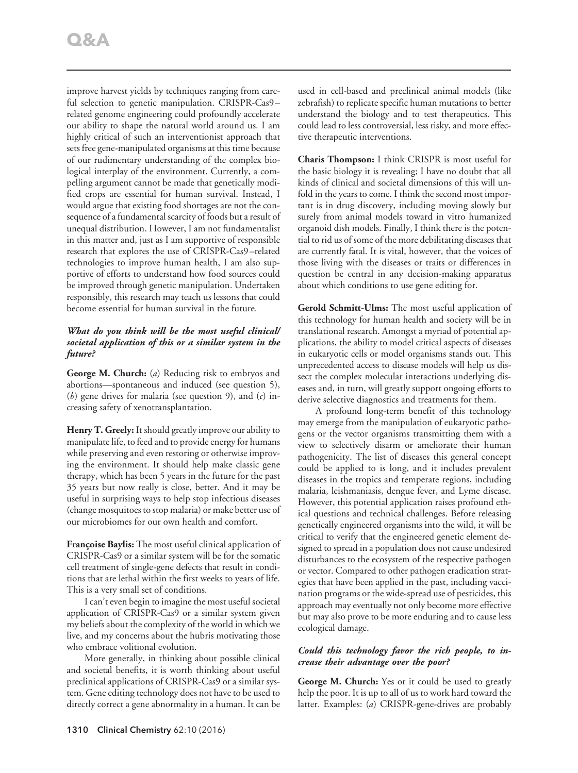improve harvest yields by techniques ranging from careful selection to genetic manipulation. CRISPR-Cas9 – related genome engineering could profoundly accelerate our ability to shape the natural world around us. I am highly critical of such an interventionist approach that sets free gene-manipulated organisms at this time because of our rudimentary understanding of the complex biological interplay of the environment. Currently, a compelling argument cannot be made that genetically modified crops are essential for human survival. Instead, I would argue that existing food shortages are not the consequence of a fundamental scarcity of foods but a result of unequal distribution. However, I am not fundamentalist in this matter and, just as I am supportive of responsible research that explores the use of CRISPR-Cas9 –related technologies to improve human health, I am also supportive of efforts to understand how food sources could be improved through genetic manipulation. Undertaken responsibly, this research may teach us lessons that could become essential for human survival in the future.

# *What do you think will be the most useful clinical/ societal application of this or a similar system in the future?*

**George M. Church:** (*a*) Reducing risk to embryos and abortions—spontaneous and induced (see question 5), (*b*) gene drives for malaria (see question 9), and (*c*) increasing safety of xenotransplantation.

**Henry T. Greely:** It should greatly improve our ability to manipulate life, to feed and to provide energy for humans while preserving and even restoring or otherwise improving the environment. It should help make classic gene therapy, which has been 5 years in the future for the past 35 years but now really is close, better. And it may be useful in surprising ways to help stop infectious diseases (change mosquitoes to stop malaria) or make better use of our microbiomes for our own health and comfort.

Françoise Baylis: The most useful clinical application of CRISPR-Cas9 or a similar system will be for the somatic cell treatment of single-gene defects that result in conditions that are lethal within the first weeks to years of life. This is a very small set of conditions.

I can't even begin to imagine the most useful societal application of CRISPR-Cas9 or a similar system given my beliefs about the complexity of the world in which we live, and my concerns about the hubris motivating those who embrace volitional evolution.

More generally, in thinking about possible clinical and societal benefits, it is worth thinking about useful preclinical applications of CRISPR-Cas9 or a similar system. Gene editing technology does not have to be used to directly correct a gene abnormality in a human. It can be

used in cell-based and preclinical animal models (like zebrafish) to replicate specific human mutations to better understand the biology and to test therapeutics. This could lead to less controversial, less risky, and more effective therapeutic interventions.

**Charis Thompson:** I think CRISPR is most useful for the basic biology it is revealing; I have no doubt that all kinds of clinical and societal dimensions of this will unfold in the years to come. I think the second most important is in drug discovery, including moving slowly but surely from animal models toward in vitro humanized organoid dish models. Finally, I think there is the potential to rid us of some of the more debilitating diseases that are currently fatal. It is vital, however, that the voices of those living with the diseases or traits or differences in question be central in any decision-making apparatus about which conditions to use gene editing for.

**Gerold Schmitt-Ulms:** The most useful application of this technology for human health and society will be in translational research. Amongst a myriad of potential applications, the ability to model critical aspects of diseases in eukaryotic cells or model organisms stands out. This unprecedented access to disease models will help us dissect the complex molecular interactions underlying diseases and, in turn, will greatly support ongoing efforts to derive selective diagnostics and treatments for them.

A profound long-term benefit of this technology may emerge from the manipulation of eukaryotic pathogens or the vector organisms transmitting them with a view to selectively disarm or ameliorate their human pathogenicity. The list of diseases this general concept could be applied to is long, and it includes prevalent diseases in the tropics and temperate regions, including malaria, leishmaniasis, dengue fever, and Lyme disease. However, this potential application raises profound ethical questions and technical challenges. Before releasing genetically engineered organisms into the wild, it will be critical to verify that the engineered genetic element designed to spread in a population does not cause undesired disturbances to the ecosystem of the respective pathogen or vector. Compared to other pathogen eradication strategies that have been applied in the past, including vaccination programs or the wide-spread use of pesticides, this approach may eventually not only become more effective but may also prove to be more enduring and to cause less ecological damage.

## *Could this technology favor the rich people, to increase their advantage over the poor?*

**George M. Church:** Yes or it could be used to greatly help the poor. It is up to all of us to work hard toward the latter. Examples: (*a*) CRISPR-gene-drives are probably